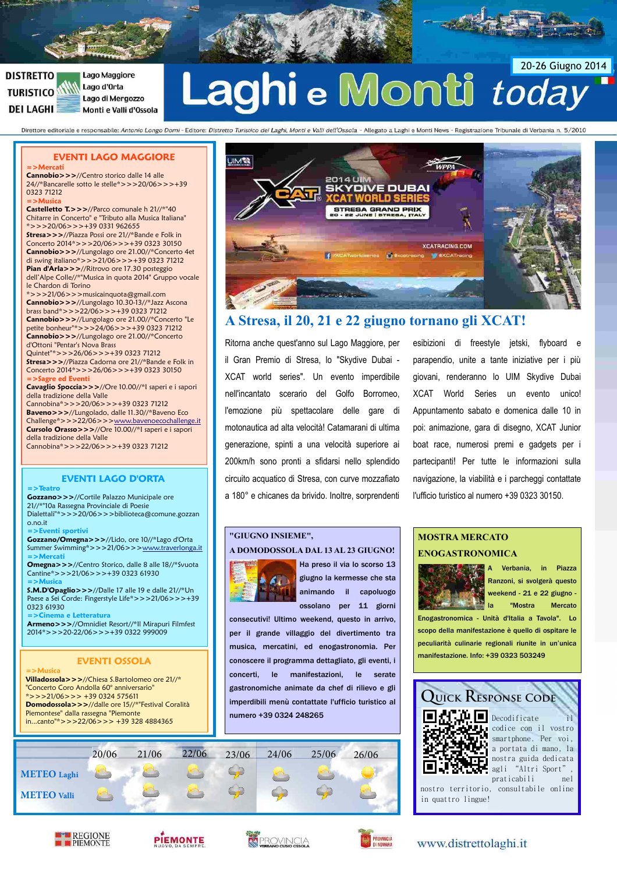

**UIMTA** 

#### **DISTRETTO** Lago Maggiore Lago d'Orta **TURISTICO** Lago di Mergozzo **DEI LAGHI** Monti e Valli d'Ossola

# aghi e Monti today

Direttore editoriale e responsabile: Antonio Longo Dorni - Editore: Distretto Turistico dei Laghi, Monti e Valli dell'Ossola - Allegato a Laghi e Monti News - Registrazione Tribunale di Verbania n. 5/2010

#### **EVENTI LAGO MAGGIORE**

**=>Mercati Cannobio>>>**//Centro storico dalle 14 alle 24//\*Bancarelle sotto le stelle\*>>>20/06>>>+39 0323 71212

**=>Musica Castelletto T.>>>**//Parco comunale h 21//\*"40 Chitarre in Concerto" e "Tributo alla Musica Italiana"  $*>>20/06>>>+390331962655$ **Stresa>>>**//Piazza Possi ore 21//\*Bande e Folk in Concerto 2014\*>>>20/06>>>+39 0323 30150 **Cannobio>>>**//Lungolago ore 21.00//\*Concerto 4et di swing italiano\*>>>21/06>>>+39 0323 71212 **Pian d'Arla>>>**//Ritrovo ore 17.30 posteggio dell'Alpe Colle//\*"Musica in quota 2014" Gruppo vocale le Chardon di Torino

\*>>>21/06>>>musicainquota@gmail.com **Cannobio>>>**//Lungolago 10.30-13//\*Jazz Ascona brass band\*>>>22/06>>>+39 0323 71212 **Cannobio>>>**//Lungolago ore 21.00//\*Concerto "Le petite bonheur"\*>>>24/06>>>+39 0323 71212 **Cannobio>>>**//Lungolago ore 21.00//\*Concerto d'Ottoni "Pentar's Nova Brass Quintet"\*>>>26/06>>>+39 0323 71212

**Stresa>>>**//Piazza Cadorna ore 21//\*Bande e Folk in Concerto 2014\*>>>26/06>>>+39 0323 30150 **=>Sagre ed Eventi**

**Cavaglio Spoccia>>>**//Ore 10.00//\*I saperi e i sapori della tradizione della Valle Cannobina\*>>>20/06>>>+39 0323 71212 **Baveno>>>**//Lungolado, dalle 11.30//\*Baveno Eco Challenge\*>>>22/06>>[>www.bavenoecochallenge.it](http://www.bavenoecochallenge.it/) **Cursolo Orasso>>>**//Ore 10.00//\*I saperi e i sapori della tradizione della Valle Cannobina\*>>>22/06>>>+39 0323 71212

#### **EVENTI LAGO D'ORTA**

**=>Teatro Gozzano>>>**//Cortile Palazzo Municipale ore 21//\*"10a Rassegna Provinciale di Poesie Dialettali"\*>>>20/06>>>biblioteca@comune.gozzan o.no.it

**=>Eventi sportivi Gozzano/Omegna>>>**//Lido, ore 10//\*Lago d'Orta Summer Swimming\*>>>21/06>>[>www.traverlonga.it](http://www.traverlonga.it/) **=>Mercati**

**Omegna>>>**//Centro Storico, dalle 8 alle 18//\*Svuota Cantine\*>>>21/06>>>+39 0323 61930 **=>Musica**

**S.M.D'Opaglio>>>**//Dalle 17 alle 19 e dalle 21//\*Un Paese a Sei Corde: Fingerstyle Life\*>>>21/06>>>+39 0323 61930

**=>Cinema e Letteratura Armeno>>>**//Omnidiet Resort//\*Il Mirapuri Filmfest 2014\*>>>20-22/06>>>+39 0322 999009

#### **EVENTI OSSOLA**

**=>Musica Villadossola>>>**//Chiesa S.Bartolomeo ore 21//\* "Concerto Coro Andolla 60° anniversario" \*>>>21/06>>> +39 0324 575611 **Domodossola>>>**//dalle ore 15//\*"Festival Coralità Piemontese" dalla rassegna "Piemonte in...canto"\*>>>22/06>>> +39 328 4884365

# **DIVE DUBAI SKY** STRESA GRAND PRI

**2014 UI** 



## **A Stresa, il 20, 21 e 22 giugno tornano gli XCAT!**

Ritorna anche quest'anno sul Lago Maggiore, per il Gran Premio di Stresa, lo "Skydive Dubai - XCAT world series". Un evento imperdibile nell'incantato scerario del Golfo Borromeo, l'emozione più spettacolare delle gare di motonautica ad alta velocità! Catamarani di ultima generazione, spinti a una velocità superiore ai 200km/h sono pronti a sfidarsi nello splendido circuito acquatico di Stresa, con curve mozzafiato a 180° e chicanes da brivido. Inoltre, sorprendenti

esibizioni di freestyle jetski, flyboard e parapendio, unite a tante iniziative per i più giovani, renderanno lo UIM Skydive Dubai XCAT World Series un evento unico! Appuntamento sabato e domenica dalle 10 in poi: animazione, gara di disegno, XCAT Junior boat race, numerosi premi e gadgets per i partecipanti! Per tutte le informazioni sulla navigazione, la viabilità e i parcheggi contattate l'ufficio turistico al numero +39 0323 30150.

#### **"GIUGNO INSIEME",**

#### **A DOMODOSSOLA DAL 13 AL 23 GIUGNO!**



Ha preso il via lo scorso 13 giugno la kermesse che sta animando il capoluogo ossolano per 11 giorni

consecutivi! Ultimo weekend, questo in arrivo, per il grande villaggio del divertimento tra musica, mercatini, ed enogastronomia. Per conoscere il programma dettagliato, gli eventi, i concerti, le manifestazioni, le serate gastronomiche animate da chef di rilievo e gli imperdibili menù contattate l'ufficio turistico al numero +39 0324 248265



#### **MOSTRA MERCATO ENOGASTRONOMICA**



A Verbania, in Piazza Ranzoni, si svolgerà questo weekend - 21 e 22 giugno - "Mostra Mercato

Enogastronomica - Unità d'Italia a Tavola". Lo scopo della manifestazione è quello di ospitare le peculiarità culinarie regionali riunite in un'unica manifestazione. Info: +39 0323 503249



T.LE presurriture<br>Le li codice con il vostro<br>Le li smartphone Per voi. smartphone. Per voi, a portata di mano, la nostra guida dedicata agli "Altri Sport", praticabili nel

nostro territorio, consultabile online in quattro lingue!









#### www.distrettolaghi.it